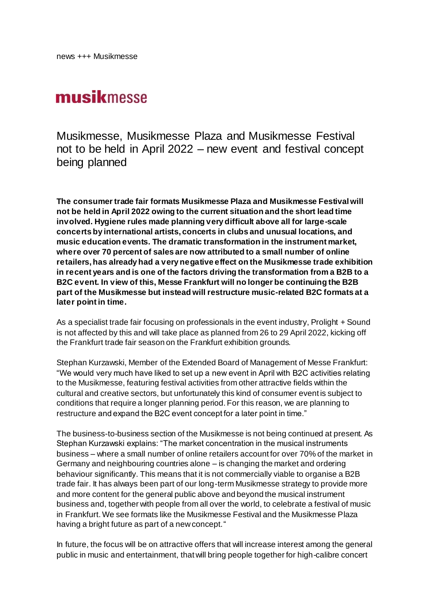## musikmesse

Musikmesse, Musikmesse Plaza and Musikmesse Festival not to be held in April 2022 – new event and festival concept being planned

**The consumer trade fair formats Musikmesse Plaza and Musikmesse Festival will not be held in April 2022 owing to the current situation and the short lead time involved. Hygiene rules made planning very difficult above all for large-scale concerts by international artists, concerts in clubs and unusual locations, and music education events. The dramatic transformation in the instrument market, where over 70 percent of sales are now attributed to a small number of online retailers, has already had a very negative effect on the Musikmesse trade exhibition in recent years and is one of the factors driving the transformation from a B2B to a B2C event. In view of this, Messe Frankfurt will no longer be continuing the B2B part of the Musikmesse but instead will restructure music-related B2C formats at a later point in time.** 

As a specialist trade fair focusing on professionals in the event industry, Prolight + Sound is not affected by this and will take place as planned from 26 to 29 April 2022, kicking off the Frankfurt trade fair season on the Frankfurt exhibition grounds.

Stephan Kurzawski, Member of the Extended Board of Management of Messe Frankfurt: "We would very much have liked to set up a new event in April with B2C activities relating to the Musikmesse, featuring festival activities from other attractive fields within the cultural and creative sectors, but unfortunately this kind of consumer event is subject to conditions that require a longer planning period. For this reason, we are planning to restructure and expand the B2C event concept for a later point in time."

The business-to-business section of the Musikmesse is not being continued at present. As Stephan Kurzawski explains: "The market concentration in the musical instruments business – where a small number of online retailers account for over 70% of the market in Germany and neighbouring countries alone – is changing the market and ordering behaviour significantly. This means that it is not commercially viable to organise a B2B trade fair. It has always been part of our long-term Musikmesse strategy to provide more and more content for the general public above and beyond the musical instrument business and, together with people from all over the world, to celebrate a festival of music in Frankfurt. We see formats like the Musikmesse Festival and the Musikmesse Plaza having a bright future as part of a new concept."

In future, the focus will be on attractive offers that will increase interest among the general public in music and entertainment, that will bring people together for high-calibre concert